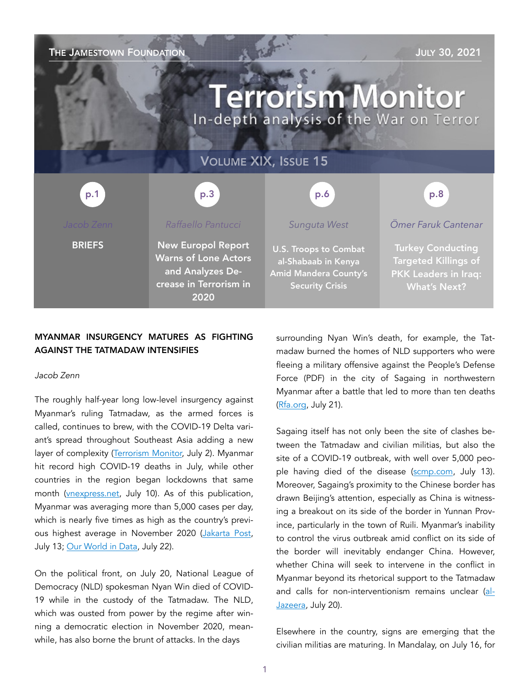## **THE JAMESTOWN FOUNDATION THE JAMESTOWN FOUNDATION**

# **Terrorism Monitor** In-depth analysis of the War on Terror

p.3 p.1 p.1 p.3 p.3 p.6 p.6 p.8 p.8

**BRIEFS** 

#### *Raffaello Pantucci*

New Europol Report Warns of Lone Actors and Analyzes Decrease in Terrorism in 2020

#### *Sunguta West*

VOLUME XIX, ISSUE 15

U.S. Troops to Combat al-Shabaab in Kenya Amid Mandera County's Security Crisis

*Ömer Faruk Cantenar* 

Turkey Conducting Targeted Killings of PKK Leaders in Iraq: What's Next?

### MYANMAR INSURGENCY MATURES AS FIGHTING AGAINST THE TATMADAW INTENSIFIES

#### *Jacob Zenn*

The roughly half-year long low-level insurgency against Myanmar's ruling Tatmadaw, as the armed forces is called, continues to brew, with the COVID-19 Delta variant's spread throughout Southeast Asia adding a new layer of complexity [\(Terrorism Monitor,](https://jamestown.org/program/myanmar-militant-opposition-divided-in-fig) July 2). Myanmar hit record high COVID-19 deaths in July, while other countries in the region began lockdowns that same month [\(vnexpress.net,](https://e.vnexpress.net/news/news/covid-cases-climb-as-southeast-asia-feels-force-of-delta-variant-4307497.html) July 10). As of this publication, Myanmar was averaging more than 5,000 cases per day, which is nearly five times as high as the country's previ-ous highest average in November 2020 ([Jakarta Post,](https://www.thejakartapost.com/seasia/2021/07/13/myanmar-sees-daily-covid-19-infections-surpass-5000-for-first-time.html) July 13; [Our World in Data,](https://ourworldindata.org/covid-vaccinations?country=MMR) July 22).

On the political front, on July 20, National League of Democracy (NLD) spokesman Nyan Win died of COVID-19 while in the custody of the Tatmadaw. The NLD, which was ousted from power by the regime after winning a democratic election in November 2020, meanwhile, has also borne the brunt of attacks. In the days

surrounding Nyan Win's death, for example, the Tatmadaw burned the homes of NLD supporters who were fleeing a military offensive against the People's Defense Force (PDF) in the city of Sagaing in northwestern Myanmar after a battle that led to more than ten deaths ([Rfa.org,](https://www.bnionline.net/en/news/fighting-ensues-between-military-and-knpp-loikaw-township) July 21).

Sagaing itself has not only been the site of clashes between the Tatmadaw and civilian militias, but also the site of a COVID-19 outbreak, with well over 5,000 people having died of the disease ([scmp.com](https://www.scmp.com/week-asia/politics/article/3140870/myanmar-struggles-co), July 13). Moreover, Sagaing's proximity to the Chinese border has drawn Beijing's attention, especially as China is witnessing a breakout on its side of the border in Yunnan Province, particularly in the town of Ruili. Myanmar's inability to control the virus outbreak amid conflict on its side of the border will inevitably endanger China. However, whether China will seek to intervene in the conflict in Myanmar beyond its rhetorical support to the Tatmadaw and calls for non-interventionism remains unclear [\(al-](https://www.aljazeera.com/news/2021/7/20/china-reports-spike-in-new-covid-cases-o)[Jazeera](https://www.aljazeera.com/news/2021/7/20/china-reports-spike-in-new-covid-cases-o), July 20).

Elsewhere in the country, signs are emerging that the civilian militias are maturing. In Mandalay, on July 16, for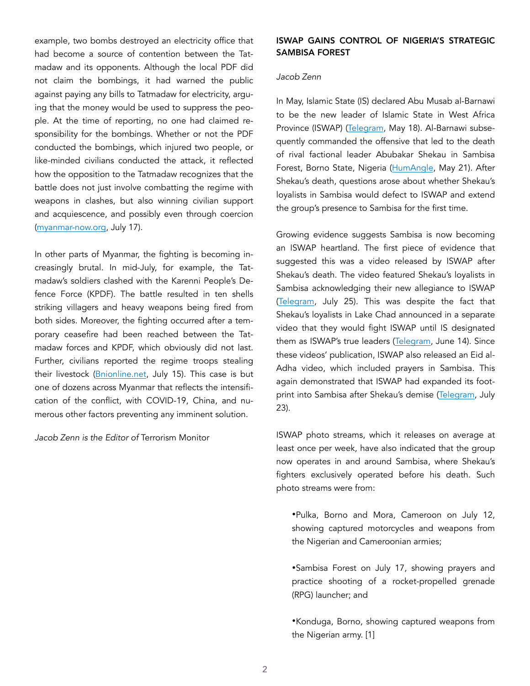example, two bombs destroyed an electricity office that had become a source of contention between the Tatmadaw and its opponents. Although the local PDF did not claim the bombings, it had warned the public against paying any bills to Tatmadaw for electricity, arguing that the money would be used to suppress the people. At the time of reporting, no one had claimed responsibility for the bombings. Whether or not the PDF conducted the bombings, which injured two people, or like-minded civilians conducted the attack, it reflected how the opposition to the Tatmadaw recognizes that the battle does not just involve combatting the regime with weapons in clashes, but also winning civilian support and acquiescence, and possibly even through coercion ([myanmar-now.org,](https://www.myanmar-now.org/en/news/electricity-office-in-mandalays-pyigyidagun-township-bombed) July 17).

In other parts of Myanmar, the fighting is becoming increasingly brutal. In mid-July, for example, the Tatmadaw's soldiers clashed with the Karenni People's Defence Force (KPDF). The battle resulted in ten shells striking villagers and heavy weapons being fired from both sides. Moreover, the fighting occurred after a temporary ceasefire had been reached between the Tatmadaw forces and KPDF, which obviously did not last. Further, civilians reported the regime troops stealing their livestock (Bnionline.net, July 15). This case is but one of dozens across Myanmar that reflects the intensification of the conflict, with COVID-19, China, and numerous other factors preventing any imminent solution.

*Jacob Zenn is the Editor of* Terrorism Monitor

#### ISWAP GAINS CONTROL OF NIGERIA'S STRATEGIC SAMBISA FOREST

#### *Jacob Zenn*

In May, Islamic State (IS) declared Abu Musab al-Barnawi to be the new leader of Islamic State in West Africa Province (ISWAP) ([Telegram](https://unmaskingbokoharam.com/2021/05/18/iswap-abu-musab-al-barnawi-leadership-reinstatement-audio-may-2021/), May 18). Al-Barnawi subsequently commanded the offensive that led to the death of rival factional leader Abubakar Shekau in Sambisa Forest, Borno State, Nigeria ([HumAngle,](https://humangle.ng/boko-haram-strongman-shekau-dead-as-iswap-fighters-capture) May 21). After Shekau's death, questions arose about whether Shekau's loyalists in Sambisa would defect to ISWAP and extend the group's presence to Sambisa for the first time.

Growing evidence suggests Sambisa is now becoming an ISWAP heartland. The first piece of evidence that suggested this was a video released by ISWAP after Shekau's death. The video featured Shekau's loyalists in Sambisa acknowledging their new allegiance to ISWAP ([Telegram](https://unmaskingbokoharam.com/2021/06/25/iswap-the-righteous-video-on-late-abubakar-shekaus-fighters-reintegration-and-loyalty-to-islamic-state-june-25-2021/), July 25). This was despite the fact that Shekau's loyalists in Lake Chad announced in a separate video that they would fight ISWAP until IS designated them as ISWAP's true leaders [\(Telegram,](https://unmaskingbokoharam.com/2021/06/14/boko-haram) June 14). Since these videos' publication, ISWAP also released an Eid al-Adha video, which included prayers in Sambisa. This again demonstrated that ISWAP had expanded its foot-print into Sambisa after Shekau's demise [\(Telegram](https://unmaskingbokoharam.com/2021/07/24/iswap-eid-al-adha-slaughter-video-from-lake-chad-sambisa-and-farooq-yobe-july-23-2021/), July 23).

ISWAP photo streams, which it releases on average at least once per week, have also indicated that the group now operates in and around Sambisa, where Shekau's fighters exclusively operated before his death. Such photo streams were from:

•Pulka, Borno and Mora, Cameroon on July 12, showing captured motorcycles and weapons from the Nigerian and Cameroonian armies;

•Sambisa Forest on July 17, showing prayers and practice shooting of a rocket-propelled grenade (RPG) launcher; and

•Konduga, Borno, showing captured weapons from the Nigerian army. [1]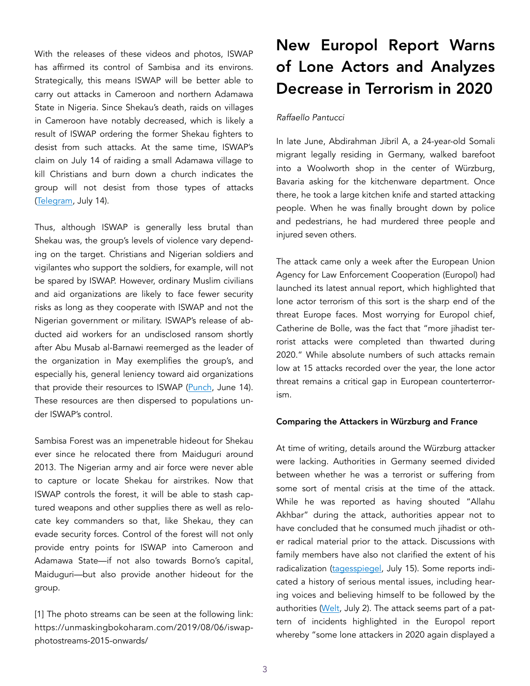With the releases of these videos and photos, ISWAP has affirmed its control of Sambisa and its environs. Strategically, this means ISWAP will be better able to carry out attacks in Cameroon and northern Adamawa State in Nigeria. Since Shekau's death, raids on villages in Cameroon have notably decreased, which is likely a result of ISWAP ordering the former Shekau fighters to desist from such attacks. At the same time, ISWAP's claim on July 14 of raiding a small Adamawa village to kill Christians and burn down a church indicates the group will not desist from those types of attacks ([Telegram,](https://unmaskingbokoharam.files.wordpress.com/2021/07/iswapjuly142021adamawachristianvillageattack.pdf) July 14).

Thus, although ISWAP is generally less brutal than Shekau was, the group's levels of violence vary depending on the target. Christians and Nigerian soldiers and vigilantes who support the soldiers, for example, will not be spared by ISWAP. However, ordinary Muslim civilians and aid organizations are likely to face fewer security risks as long as they cooperate with ISWAP and not the Nigerian government or military. ISWAP's release of abducted aid workers for an undisclosed ransom shortly after Abu Musab al-Barnawi reemerged as the leader of the organization in May exemplifies the group's, and especially his, general leniency toward aid organizations that provide their resources to ISWAP [\(Punch,](https://punchng.com/boko-haram-releases-aid-workers-others/%22%20%5Cl%20%22:~:text=Several%20humanitarian%20workers%20and%20civilians,other%20civilian%20captives%20after%20negotiations.) June 14). These resources are then dispersed to populations under ISWAP's control.

Sambisa Forest was an impenetrable hideout for Shekau ever since he relocated there from Maiduguri around 2013. The Nigerian army and air force were never able to capture or locate Shekau for airstrikes. Now that ISWAP controls the forest, it will be able to stash captured weapons and other supplies there as well as relocate key commanders so that, like Shekau, they can evade security forces. Control of the forest will not only provide entry points for ISWAP into Cameroon and Adamawa State—if not also towards Borno's capital, Maiduguri—but also provide another hideout for the group.

[1] The photo streams can be seen at the following link: https://unmaskingbokoharam.com/2019/08/06/iswapphotostreams-2015-onwards/

## New Europol Report Warns of Lone Actors and Analyzes Decrease in Terrorism in 2020

#### *Raffaello Pantucci*

In late June, Abdirahman Jibril A, a 24-year-old Somali migrant legally residing in Germany, walked barefoot into a Woolworth shop in the center of Würzburg, Bavaria asking for the kitchenware department. Once there, he took a large kitchen knife and started attacking people. When he was finally brought down by police and pedestrians, he had murdered three people and injured seven others.

The attack came only a week after the European Union Agency for Law Enforcement Cooperation (Europol) had launched its latest annual report, which highlighted that lone actor terrorism of this sort is the sharp end of the threat Europe faces. Most worrying for Europol chief, Catherine de Bolle, was the fact that "more jihadist terrorist attacks were completed than thwarted during 2020." While absolute numbers of such attacks remain low at 15 attacks recorded over the year, the lone actor threat remains a critical gap in European counterterrorism.

#### Comparing the Attackers in Würzburg and France

At time of writing, details around the Würzburg attacker were lacking. Authorities in Germany seemed divided between whether he was a terrorist or suffering from some sort of mental crisis at the time of the attack. While he was reported as having shouted "Allahu Akhbar" during the attack, authorities appear not to have concluded that he consumed much jihadist or other radical material prior to the attack. Discussions with family members have also not clarified the extent of his radicalization ([tagesspiegel,](https://www.tagesspiegel.de/) July 15). Some reports indicated a history of serious mental issues, including hearing voices and believing himself to be followed by the authorities ([Welt](https://www.welt.de/politik/deutschland/article232246503/Attentaeter-von-Wuerzburg-war-seit-Jahren-psychisch-auffaellig.html), July 2). The attack seems part of a pattern of incidents highlighted in the Europol report whereby "some lone attackers in 2020 again displayed a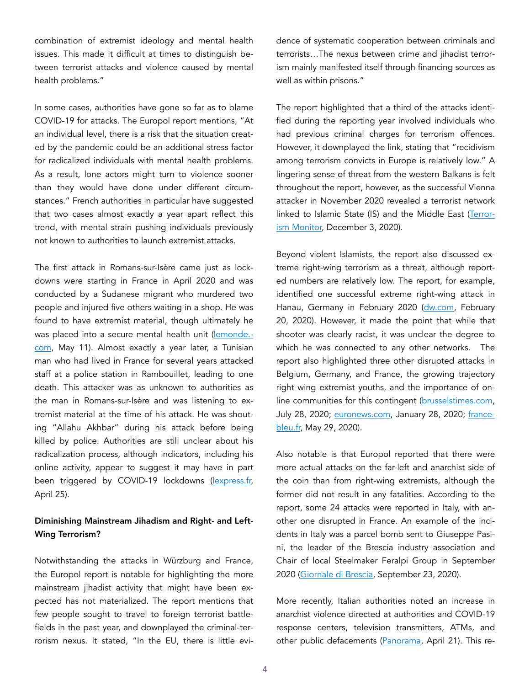combination of extremist ideology and mental health issues. This made it difficult at times to distinguish between terrorist attacks and violence caused by mental health problems."

In some cases, authorities have gone so far as to blame COVID-19 for attacks. The Europol report mentions, "At an individual level, there is a risk that the situation created by the pandemic could be an additional stress factor for radicalized individuals with mental health problems. As a result, lone actors might turn to violence sooner than they would have done under different circumstances." French authorities in particular have suggested that two cases almost exactly a year apart reflect this trend, with mental strain pushing individuals previously not known to authorities to launch extremist attacks.

The first attack in Romans-sur-Isère came just as lockdowns were starting in France in April 2020 and was conducted by a Sudanese migrant who murdered two people and injured five others waiting in a shop. He was found to have extremist material, though ultimately he was placed into a secure mental health unit ([lemonde.](https://www.lemonde.fr/societe/article/2021/05/11/l-ombre-de-l-irresponsabilite-penale-sur-l-attentat) [com](https://www.lemonde.fr/societe/article/2021/05/11/l-ombre-de-l-irresponsabilite-penale-sur-l-attentat), May 11). Almost exactly a year later, a Tunisian man who had lived in France for several years attacked staff at a police station in Rambouillet, leading to one death. This attacker was as unknown to authorities as the man in Romans-sur-Isère and was listening to extremist material at the time of his attack. He was shouting "Allahu Akhbar" during his attack before being killed by police. Authorities are still unclear about his radicalization process, although indicators, including his online activity, appear to suggest it may have in part been triggered by COVID-19 lockdowns ([lexpress.fr,](https://www.lexpress.fr/actualite/societe/attaque-de-rambouillet-quel-est-le-parcours-de-l-assaillant-jamel-g_2149493.html) April 25).

#### Diminishing Mainstream Jihadism and Right- and Left-Wing Terrorism?

Notwithstanding the attacks in Würzburg and France, the Europol report is notable for highlighting the more mainstream jihadist activity that might have been expected has not materialized. The report mentions that few people sought to travel to foreign terrorist battlefields in the past year, and downplayed the criminal-terrorism nexus. It stated, "In the EU, there is little evidence of systematic cooperation between criminals and terrorists…The nexus between crime and jihadist terrorism mainly manifested itself through financing sources as well as within prisons."

The report highlighted that a third of the attacks identified during the reporting year involved individuals who had previous criminal charges for terrorism offences. However, it downplayed the link, stating that "recidivism among terrorism convicts in Europe is relatively low." A lingering sense of threat from the western Balkans is felt throughout the report, however, as the successful Vienna attacker in November 2020 revealed a terrorist network linked to Islamic State (IS) and the Middle East ([Terror](https://jamestown.org/program/briefs-dec-3/)[ism Monitor,](https://jamestown.org/program/briefs-dec-3/) December 3, 2020).

Beyond violent Islamists, the report also discussed extreme right-wing terrorism as a threat, although reported numbers are relatively low. The report, for example, identified one successful extreme right-wing attack in Hanau, Germany in February 2020 ([dw.com,](https://www.dw.com/en/german-prosecutors-say-hanau-shooter-had-a-deeply-racist-mentality/a-52443129) February 20, 2020). However, it made the point that while that shooter was clearly racist, it was unclear the degree to which he was connected to any other networks. The report also highlighted three other disrupted attacks in Belgium, Germany, and France, the growing trajectory right wing extremist youths, and the importance of online communities for this contingent [\(brusselstimes.com](https://www.brusselstimes.com/belgium/123775/molotov-attack-on-belgian-parliament-done-in-retaliation-for-coronavirus-response/%20), July 28, 2020; [euronews.com](https://www.euronews.com/2021/01/28/german-prosecutors-charge-woman-with-planning-far-right-attack-on-muslims-and-politicians%20), January 28, 2020; [france](https://www.francebleu.fr/infos/f)[bleu.fr,](https://www.francebleu.fr/infos/f) May 29, 2020).

Also notable is that Europol reported that there were more actual attacks on the far-left and anarchist side of the coin than from right-wing extremists, although the former did not result in any fatalities. According to the report, some 24 attacks were reported in Italy, with another one disrupted in France. An example of the incidents in Italy was a parcel bomb sent to Giuseppe Pasini, the leader of the Brescia industry association and Chair of local Steelmaker Feralpi Group in September 2020 ([Giornale di Brescia,](https://www.giornaledibrescia.it/garda/pacco-bomba-a-pasini-scorta-per-il-presidente-degli-industria) September 23, 2020).

More recently, Italian authorities noted an increase in anarchist violence directed at authorities and COVID-19 response centers, television transmitters, ATMs, and other public defacements ([Panorama](https://www.panorama.it/abbonati/Inchieste/anarchici-attentati), April 21). This re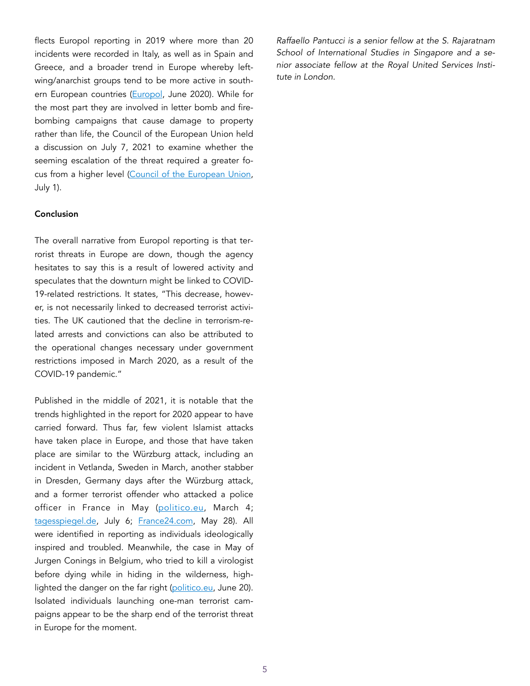flects Europol reporting in 2019 where more than 20 incidents were recorded in Italy, as well as in Spain and Greece, and a broader trend in Europe whereby leftwing/anarchist groups tend to be more active in south-ern European countries ([Europol,](https://www.europol.europa.eu/activities-services/main-reports/european-union-terrorism-situation-and-trend-report-te-sat-2020) June 2020). While for the most part they are involved in letter bomb and firebombing campaigns that cause damage to property rather than life, the Council of the European Union held a discussion on July 7, 2021 to examine whether the seeming escalation of the threat required a greater focus from a higher level ([Council of the European Union,](https://www.statewatch.org/media/2554/eu-council-violent-left-wing-extremism-discussion-paper-10180-21.pdf) July 1).

#### Conclusion

The overall narrative from Europol reporting is that terrorist threats in Europe are down, though the agency hesitates to say this is a result of lowered activity and speculates that the downturn might be linked to COVID-19-related restrictions. It states, "This decrease, however, is not necessarily linked to decreased terrorist activities. The UK cautioned that the decline in terrorism-related arrests and convictions can also be attributed to the operational changes necessary under government restrictions imposed in March 2020, as a result of the COVID-19 pandemic."

Published in the middle of 2021, it is notable that the trends highlighted in the report for 2020 appear to have carried forward. Thus far, few violent Islamist attacks have taken place in Europe, and those that have taken place are similar to the Würzburg attack, including an incident in Vetlanda, Sweden in March, another stabber in Dresden, Germany days after the Würzburg attack, and a former terrorist offender who attacked a police officer in France in May ([politico.eu](https://www.politico.eu/article/swedish-police-suspect-terror-motives-in-wake-of-vetlanda-attack/), March 4; [tagesspiegel.de](https://www.tagesspiegel.de/politik/tat-von-wuerzburg-nachgeahmt-iraker-stoppten-messerstecher-in-dresden/27), July 6; [France24.com](https://www.france24.com/en/france/20210528-man-attacks-french-police-officer-with-knife-sparking-manhunt-in-western-france), May 28). All were identified in reporting as individuals ideologically inspired and troubled. Meanwhile, the case in May of Jurgen Conings in Belgium, who tried to kill a virologist before dying while in hiding in the wilderness, highlighted the danger on the far right ([politico.eu](https://www.politico.eu/article/ju), June 20). Isolated individuals launching one-man terrorist campaigns appear to be the sharp end of the terrorist threat in Europe for the moment.

*Raffaello Pantucci is a senior fellow at the S. Rajaratnam School of International Studies in Singapore and a senior associate fellow at the Royal United Services Institute in London.*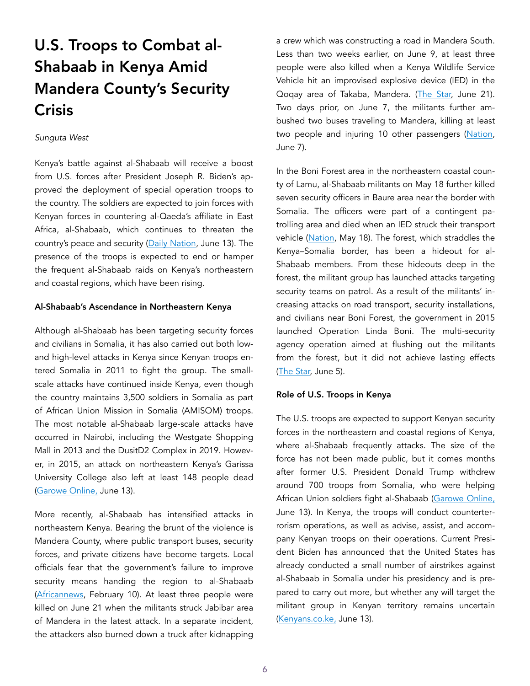# U.S. Troops to Combat al-Shabaab in Kenya Amid Mandera County's Security **Crisis**

#### *Sunguta West*

Kenya's battle against al-Shabaab will receive a boost from U.S. forces after President Joseph R. Biden's approved the deployment of special operation troops to the country. The soldiers are expected to join forces with Kenyan forces in countering al-Qaeda's affiliate in East Africa, al-Shabaab, which continues to threaten the country's peace and security [\(Daily Nation](https://nation.africa/kenya/news/biden-to-send-troops-to-kenya-in-war-on-shabaab-3435462), June 13). The presence of the troops is expected to end or hamper the frequent al-Shabaab raids on Kenya's northeastern and coastal regions, which have been rising.

#### Al-Shabaab's Ascendance in Northeastern Kenya

Although al-Shabaab has been targeting security forces and civilians in Somalia, it has also carried out both lowand high-level attacks in Kenya since Kenyan troops entered Somalia in 2011 to fight the group. The smallscale attacks have continued inside Kenya, even though the country maintains 3,500 soldiers in Somalia as part of African Union Mission in Somalia (AMISOM) troops. The most notable al-Shabaab large-scale attacks have occurred in Nairobi, including the Westgate Shopping Mall in 2013 and the DusitD2 Complex in 2019. However, in 2015, an attack on northeastern Kenya's Garissa University College also left at least 148 people dead ([Garowe Online,](https://www.garoweonline.com/en/world/africa/boost-as-joe-biden-dispatches-troops-to-kenya-in-al-shabaab-war) June 13).

More recently, al-Shabaab has intensified attacks in northeastern Kenya. Bearing the brunt of the violence is Mandera County, where public transport buses, security forces, and private citizens have become targets. Local officials fear that the government's failure to improve security means handing the region to al-Shabaab ([Africannews](https://www.africanews.com/2021/02/10/frustration-mounts-in-northern-kenya-as-al-shabaab-threats-grow/), February 10). At least three people were killed on June 21 when the militants struck Jabibar area of Mandera in the latest attack. In a separate incident, the attackers also burned down a truck after kidnapping

a crew which was constructing a road in Mandera South. Less than two weeks earlier, on June 9, at least three people were also killed when a Kenya Wildlife Service Vehicle hit an improvised explosive device (IED) in the Qoqay area of Takaba, Mandera. [\(The Star,](https://www.the-star.co.ke/counties/north-eastern/2021-06-21-three) June 21). Two days prior, on June 7, the militants further ambushed two buses traveling to Mandera, killing at least two people and injuring 10 other passengers [\(Nation](https://allafrica.com/stori), June 7).

In the Boni Forest area in the northeastern coastal county of Lamu, al-Shabaab militants on May 18 further killed seven security officers in Baure area near the border with Somalia. The officers were part of a contingent patrolling area and died when an IED struck their transport vehicle [\(Nation](https://nation.africa/kenya/counties/lamu/several-kdf-soldiers-feared-dead-after-lamu-ied-attack-3405130), May 18). The forest, which straddles the Kenya–Somalia border, has been a hideout for al-Shabaab members. From these hideouts deep in the forest, the militant group has launched attacks targeting security teams on patrol. As a result of the militants' increasing attacks on road transport, security installations, and civilians near Boni Forest, the government in 2015 launched Operation Linda Boni. The multi-security agency operation aimed at flushing out the militants from the forest, but it did not achieve lasting effects ([The Star](https://www.the-star.c), June 5).

#### Role of U.S. Troops in Kenya

The U.S. troops are expected to support Kenyan security forces in the northeastern and coastal regions of Kenya, where al-Shabaab frequently attacks. The size of the force has not been made public, but it comes months after former U.S. President Donald Trump withdrew around 700 troops from Somalia, who were helping African Union soldiers fight al-Shabaab [\(Garowe Online,](https://www.garoweonline.com/en/world/africa/boost-as-joe-biden-dispatches-troops-to-kenya-in-al-shabaab-war) June 13). In Kenya, the troops will conduct counterterrorism operations, as well as advise, assist, and accompany Kenyan troops on their operations. Current President Biden has announced that the United States has already conducted a small number of airstrikes against al-Shabaab in Somalia under his presidency and is prepared to carry out more, but whether any will target the militant group in Kenyan territory remains uncertain ([Kenyans.co.ke,](https://www.kenyans.co.ke/news/65733-biden-sends-us-soldiers-kenya-special-mission) June 13).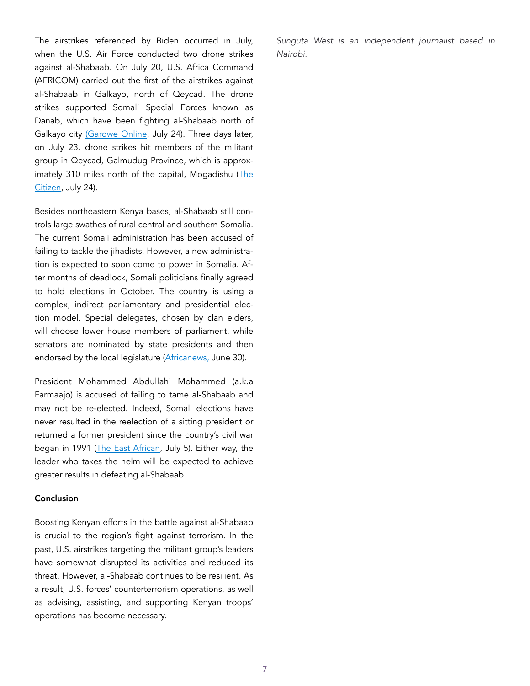The airstrikes referenced by Biden occurred in July, when the U.S. Air Force conducted two drone strikes against al-Shabaab. On July 20, U.S. Africa Command (AFRICOM) carried out the first of the airstrikes against al-Shabaab in Galkayo, north of Qeycad. The drone strikes supported Somali Special Forces known as Danab, which have been fighting al-Shabaab north of Galkayo city [\(Garowe Online,](https://www.garoweonline.com/en/news/somalia/us-military-targets-al-shabaab-again-in-somalia) July 24). Three days later, on July 23, drone strikes hit members of the militant group in Qeycad, Galmudug Province, which is approximately 310 miles north of the capital, Mogadishu ([The](https://www.thecitizen.co.tz/tanzania/news/africa/us-launches-second)  [Citizen,](https://www.thecitizen.co.tz/tanzania/news/africa/us-launches-second) July 24).

Besides northeastern Kenya bases, al-Shabaab still controls large swathes of rural central and southern Somalia. The current Somali administration has been accused of failing to tackle the jihadists. However, a new administration is expected to soon come to power in Somalia. After months of deadlock, Somali politicians finally agreed to hold elections in October. The country is using a complex, indirect parliamentary and presidential election model. Special delegates, chosen by clan elders, will choose lower house members of parliament, while senators are nominated by state presidents and then endorsed by the local legislature ([Africanews,](https://www.africanews.com/202) June 30).

President Mohammed Abdullahi Mohammed (a.k.a Farmaajo) is accused of failing to tame al-Shabaab and may not be re-elected. Indeed, Somali elections have never resulted in the reelection of a sitting president or returned a former president since the country's civil war began in 1991 [\(The East African,](https://www.theeastafrican.co.ke/tea/news/east-africa/half-fees-for-all-somalia-women-vying-3461310) July 5). Either way, the leader who takes the helm will be expected to achieve greater results in defeating al-Shabaab.

#### Conclusion

Boosting Kenyan efforts in the battle against al-Shabaab is crucial to the region's fight against terrorism. In the past, U.S. airstrikes targeting the militant group's leaders have somewhat disrupted its activities and reduced its threat. However, al-Shabaab continues to be resilient. As a result, U.S. forces' counterterrorism operations, as well as advising, assisting, and supporting Kenyan troops' operations has become necessary.

*Sunguta West is an independent journalist based in Nairobi.*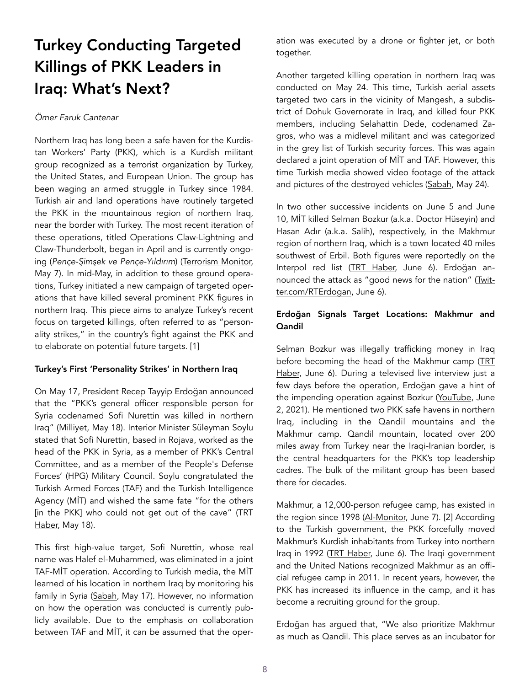## Turkey Conducting Targeted Killings of PKK Leaders in Iraq: What's Next?

#### *Ömer Faruk Cantenar*

Northern Iraq has long been a safe haven for the Kurdistan Workers' Party (PKK), which is a Kurdish militant group recognized as a terrorist organization by Turkey, the United States, and European Union. The group has been waging an armed struggle in Turkey since 1984. Turkish air and land operations have routinely targeted the PKK in the mountainous region of northern Iraq, near the border with Turkey. The most recent iteration of these operations, titled Operations Claw-Lightning and Claw-Thunderbolt, began in April and is currently ongoing (*Pençe-*Ş*im*ş*ek ve Pençe-Yıldırım*) [\(Terrorism Monitor,](https://jamestown.org/prog) May 7). In mid-May, in addition to these ground operations, Turkey initiated a new campaign of targeted operations that have killed several prominent PKK figures in northern Iraq. This piece aims to analyze Turkey's recent focus on targeted killings, often referred to as "personality strikes," in the country's fight against the PKK and to elaborate on potential future targets. [1]

#### Turkey's First 'Personality Strikes' in Northern Iraq

On May 17, President Recep Tayyip Erdoğan announced that the "PKK's general officer responsible person for Syria codenamed Sofi Nurettin was killed in northern Iraq" [\(Milliyet](https://www.milliyet.com.tr/siyaset/so), May 18). Interior Minister Süleyman Soylu stated that Sofi Nurettin, based in Rojava, worked as the head of the PKK in Syria, as a member of PKK's Central Committee, and as a member of the People's Defense Forces' (HPG) Military Council. Soylu congratulated the Turkish Armed Forces (TAF) and the Turkish Intelligence Agency (MİT) and wished the same fate "for the others [in the PKK] who could not get out of the cave" (TRT [Haber,](https://www.trthaber.com/haber/gundem/bakan-soylu-mit-ve-tskyi-kutladi-581459.html) May 18).

This first high-value target, Sofi Nurettin, whose real name was Halef el-Muhammed, was eliminated in a joint TAF-MİT operation. According to Turkish media, the MİT learned of his location in northern Iraq by monitoring his family in Syria [\(Sabah,](https://www.sabah.com.tr/gundem/2021/05/17/irakta-oldugu-gizli-tutuluyordu-sofi-nurettini-yakalamak-icin-ozel-ekip-kuruldu) May 17). However, no information on how the operation was conducted is currently publicly available. Due to the emphasis on collaboration between TAF and MİT, it can be assumed that the operation was executed by a drone or fighter jet, or both together.

Another targeted killing operation in northern Iraq was conducted on May 24. This time, Turkish aerial assets targeted two cars in the vicinity of Mangesh, a subdistrict of Dohuk Governorate in Iraq, and killed four PKK members, including Selahattin Dede, codenamed Zagros, who was a midlevel militant and was categorized in the grey list of Turkish security forces. This was again declared a joint operation of MİT and TAF. However, this time Turkish media showed video footage of the attack and pictures of the destroyed vehicles [\(Sabah,](https://www.sabah.com.tr/gundem/2021/05/24/son-dakika-mit-ve-tskdan-duhokta-ortak-operasyon-2si-ust-duzey-4-terorist-etkisiz?paging=3) May 24).

In two other successive incidents on June 5 and June 10, MİT killed Selman Bozkur (a.k.a. Doctor Hüseyin) and Hasan Adır (a.k.a. Salih), respectively, in the Makhmur region of northern Iraq, which is a town located 40 miles southwest of Erbil. Both figures were reportedly on the Interpol red list [\(TRT Haber,](https://www.t) June 6). Erdoğan announced the attack as "good news for the nation" [\(Twit](https://twitter.com/RTErdogan/status/1401533629533130756?ref_src=twsrc%5Etfw)[ter.com/RTErdogan](https://twitter.com/RTErdogan/status/1401533629533130756?ref_src=twsrc%5Etfw), June 6).

#### Erdoğan Signals Target Locations: Makhmur and Qandil

Selman Bozkur was illegally trafficking money in Iraq before becoming the head of the Makhmur camp ([TRT](https://www.trthaber.com/haber/gundem/pkknin-mahmur-sorumlusu-etkisiz-hale-getirildi-586530.html) [Haber,](https://www.trthaber.com/haber/gundem/pkknin-mahmur-sorumlusu-etkisiz-hale-getirildi-586530.html) June 6). During a televised live interview just a few days before the operation, Erdoğan gave a hint of the impending operation against Bozkur [\(YouTube,](https://www.youtube.com/watch?v=rPpeVFYgx4Y) June 2, 2021). He mentioned two PKK safe havens in northern Iraq, including in the Qandil mountains and the Makhmur camp. Qandil mountain, located over 200 miles away from Turkey near the Iraqi-Iranian border, is the central headquarters for the PKK's top leadership cadres. The bulk of the militant group has been based there for decades.

Makhmur, a 12,000-person refugee camp, has existed in the region since 1998 ([Al-Monitor,](https://www.al-monitor.com/originals/2021/06/turkish-attack-near-makhmour-camp-extends-anti-pkk-operations-deeper-iraq) June 7). [2] According to the Turkish government, the PKK forcefully moved Makhmur's Kurdish inhabitants from Turkey into northern Iraq in 1992 [\(TRT Haber,](https://www.trthaber.com/haber/gundem/pkknin-mahmur-sorumlusu-etkisiz-hale-getirildi-586530) June 6). The Iraqi government and the United Nations recognized Makhmur as an official refugee camp in 2011. In recent years, however, the PKK has increased its influence in the camp, and it has become a recruiting ground for the group.

Erdoğan has argued that, "We also prioritize Makhmur as much as Qandil. This place serves as an incubator for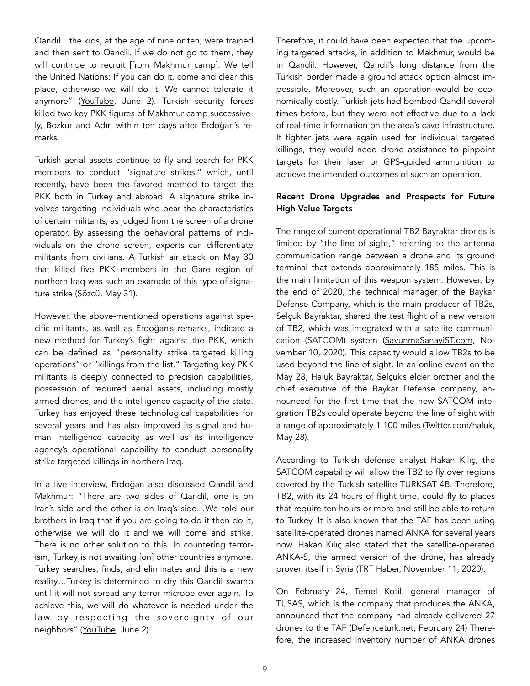Qandil…the kids, at the age of nine or ten, were trained and then sent to Qandil. If we do not go to them, they will continue to recruit [from Makhmur camp]. We tell the United Nations: If you can do it, come and clear this place, otherwise we will do it. We cannot tolerate it anymore" [\(YouTube,](https://www.youtube.com/watch?v=rPpeVFYgx4Y) June 2). Turkish security forces killed two key PKK figures of Makhmur camp successively, Bozkur and Adır, within ten days after Erdoğan's remarks.

Turkish aerial assets continue to fly and search for PKK members to conduct "signature strikes," which, until recently, have been the favored method to target the PKK both in Turkey and abroad. A signature strike involves targeting individuals who bear the characteristics of certain militants, as judged from the screen of a drone operator. By assessing the behavioral patterns of individuals on the drone screen, experts can differentiate militants from civilians. A Turkish air attack on May 30 that killed five PKK members in the Gare region of northern Iraq was such an example of this type of signature strike [\(Sözcü,](https://www.sozcu.com.tr/2021/gundem/tsk-ve-mitt) May 31).

However, the above-mentioned operations against specific militants, as well as Erdoğan's remarks, indicate a new method for Turkey's fight against the PKK, which can be defined as "personality strike targeted killing operations" or "killings from the list." Targeting key PKK militants is deeply connected to precision capabilities, possession of required aerial assets, including mostly armed drones, and the intelligence capacity of the state. Turkey has enjoyed these technological capabilities for several years and has also improved its signal and human intelligence capacity as well as its intelligence agency's operational capability to conduct personality strike targeted killings in northern Iraq.

In a live interview, Erdoğan also discussed Qandil and Makhmur: "There are two sides of Qandil, one is on Iran's side and the other is on Iraq's side…We told our brothers in Iraq that if you are going to do it then do it, otherwise we will do it and we will come and strike. There is no other solution to this. In countering terrorism, Turkey is not awaiting [on] other countries anymore. Turkey searches, finds, and eliminates and this is a new reality…Turkey is determined to dry this Qandil swamp until it will not spread any terror microbe ever again. To achieve this, we will do whatever is needed under the law by respecting the sovereignty of our neighbors" [\(YouTube,](https://www.youtube.com/watch?v=rPpeVFYgx4Y) June 2).

Therefore, it could have been expected that the upcoming targeted attacks, in addition to Makhmur, would be in Qandil. However, Qandil's long distance from the Turkish border made a ground attack option almost impossible. Moreover, such an operation would be economically costly. Turkish jets had bombed Qandil several times before, but they were not effective due to a lack of real-time information on the area's cave infrastructure. If fighter jets were again used for individual targeted killings, they would need drone assistance to pinpoint targets for their laser or GPS-guided ammunition to achieve the intended outcomes of such an operation.

#### Recent Drone Upgrades and Prospects for Future High-Value Targets

The range of current operational TB2 Bayraktar drones is limited by "the line of sight," referring to the antenna communication range between a drone and its ground terminal that extends approximately 185 miles. This is the main limitation of this weapon system. However, by the end of 2020, the technical manager of the Baykar Defense Company, which is the main producer of TB2s, Selçuk Bayraktar, shared the test flight of a new version of TB2, which was integrated with a satellite communication (SATCOM) system ([SavunmaSanayiST.com](https://www.savunmasanayist.com/satcomlu-bayraktar-tb2-ilk-kez-goruntulendi/), November 10, 2020). This capacity would allow TB2s to be used beyond the line of sight. In an online event on the May 28, Haluk Bayraktar, Selçuk's elder brother and the chief executive of the Baykar Defense company, announced for the first time that the new SATCOM integration TB2s could operate beyond the line of sight with a range of approximately 1,100 miles [\(Twitter.com/haluk,](https://mobile.twitter.com/haluk/status/1399393217242714120) May 28).

According to Turkish defense analyst Hakan Kılıç, the SATCOM capability will allow the TB2 to fly over regions covered by the Turkish satellite TURKSAT 4B. Therefore, TB2, with its 24 hours of flight time, could fly to places that require ten hours or more and still be able to return to Turkey. It is also known that the TAF has been using satellite-operated drones named ANKA for several years now. Hakan Kılıç also stated that the satellite-operated ANKA-S, the armed version of the drone, has already proven itself in Syria [\(TRT Haber](https://www.trthaber.com/haber/gundem/uydu-baglantisiyla-tb2nin-kapsama-alani-genisledi-530066.html), November 11, 2020).

On February 24, Temel Kotil, general manager of TUSAŞ, which is the company that produces the ANKA, announced that the company had already delivered 27 drones to the TAF [\(Defenceturk.net,](https://www.defenceturk.net/menzili-artirilmis-2-anka-siha-deniz-kuv) February 24) Therefore, the increased inventory number of ANKA drones